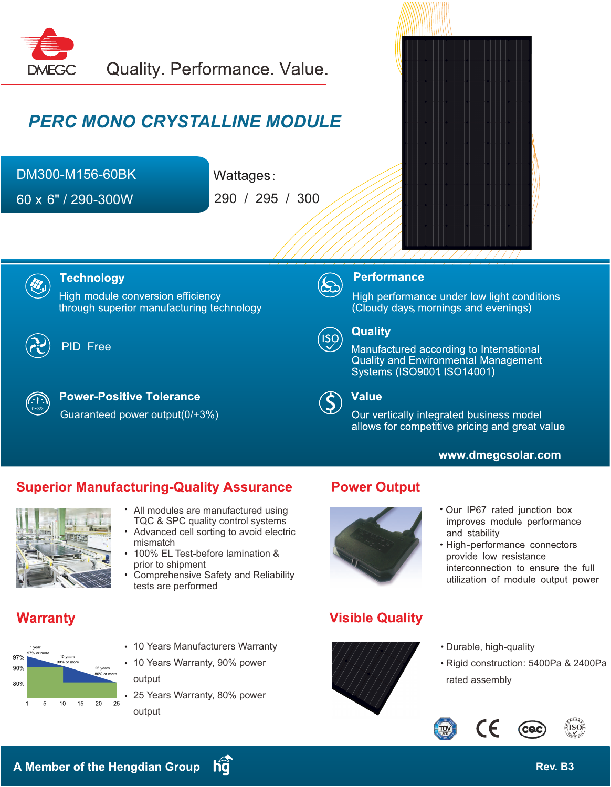

# *PERC MONO CRYSTALLINE MODULE*

| DM300-M156-60BK             | Wattages:       |
|-----------------------------|-----------------|
| $60 \times 6" / 290 - 300W$ | 290 / 295 / 300 |





#### **Technology**

High module conversion efficiency through superior manufacturing technology



### PID Free



**Power-Positive Tolerance** Guaranteed power output(0/+3%)



#### **Performance**

High performance under low light conditions (Cloudy days, mornings and evenings)



### **Quality**

Manufactured according to International **Quality and Environmental Management** Systems (ISO9001, ISO14001)

**Value**  $\left( \boldsymbol{\zeta}\right)$ 

Our vertically integrated business model allows for competitive pricing and great value

### www.dmegcsolar.com

## **Superior Manufacturing-Quality Assurance**



- All modules are manufactured using TQC & SPC quality control systems
- Advanced cell sorting to avoid electric mismatch
- 100% EL Test-before lamination & prior to shipment
- Comprehensive Safety and Reliability tests are performed

# **Warranty**



- 10 Years Manufacturers Warranty
- 10 Years Warranty, 90% power output
- 25 Years Warranty, 80% power output

## **Power Output**



# **Visible Quality**



and stability · High-performance connectors provide low resistance

. Our IP67 rated junction box improves module performance

- interconnection to ensure the full utilization of module output power
- Durable, high-quality
- Rigid construction: 5400Pa & 2400Pa rated assembly